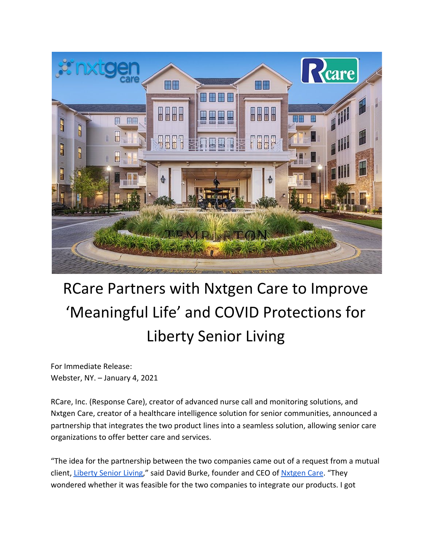

## RCare Partners with Nxtgen Care to Improve 'Meaningful Life' and COVID Protections for Liberty Senior Living

For Immediate Release: Webster, NY. – January 4, 2021

RCare, Inc. (Response Care), creator of advanced nurse call and monitoring solutions, and Nxtgen Care, creator of a healthcare intelligence solution for senior communities, announced a partnership that integrates the two product lines into a seamless solution, allowing senior care organizations to offer better care and services.

"The idea for the partnership between the two companies came out of a request from a mutual client, [Liberty Senior Living](https://www.libertyseniorliving.com/)," said David Burke, founder and CEO of [Nxtgen Care](https://www.nxtgencare.com/). "They wondered whether it was feasible for the two companies to integrate our products. I got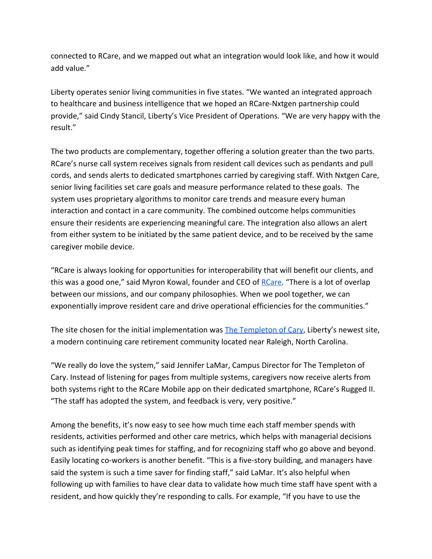connected to RCare, and we mapped out what an integration would look like, and how it would add value."

Liberty operates senior living communities in five states. "We wanted an integrated approach to healthcare and business intelligence that we hoped an RCare-Nxtgen partnership could provide," said Cindy Stancil, Liberty's Vice President of Operations. "We are very happy with the result."

The two products are complementary, together offering a solution greater than the two parts. RCare's nurse call system receives signals from resident call devices such as pendants and pull cords, and sends alerts to dedicated smartphones carried by caregiving staff. With Nxtgen Care, senior living facilities set care goals and measure performance related to these goals. The system uses proprietary algorithms to monitor care trends and measure every human interaction and contact in a care community. The combined outcome helps communities ensure their residents are experiencing meaningful care. The integration also allows an alert from either system to be initiated by the same patient device, and to be received by the same caregiver mobile device.

"RCare is always looking for opportunities for interoperability that will benefit our clients, and this was a good one," said Myron Kowal, founder and CEO of [RCare.](https://rcareinc.com/) "There is a lot of overlap between our missions, and our company philosophies. When we pool together, we can exponentially improve resident care and drive operational efficiencies for the communities."

The site chosen for the initial implementation was [The Templeton of Cary](https://www.thetempletonofcary.com/), Liberty's newest site, a modern continuing care retirement community located near Raleigh, North Carolina.

"We really do love the system," said Jennifer LaMar, Campus Director for The Templeton of Cary. Instead of listening for pages from multiple systems, caregivers now receive alerts from both systems right to the RCare Mobile app on their dedicated smartphone, RCare's Rugged II. "The staff has adopted the system, and feedback is very, very positive."

Among the benefits, it's now easy to see how much time each staff member spends with residents, activities performed and other care metrics, which helps with managerial decisions such as identifying peak times for staffing, and for recognizing staff who go above and beyond. Easily locating co-workers is another benefit. "This is a five-story building, and managers have said the system is such a time saver for finding staff," said LaMar. It's also helpful when following up with families to have clear data to validate how much time staff have spent with a resident, and how quickly they're responding to calls. For example, "If you have to use the